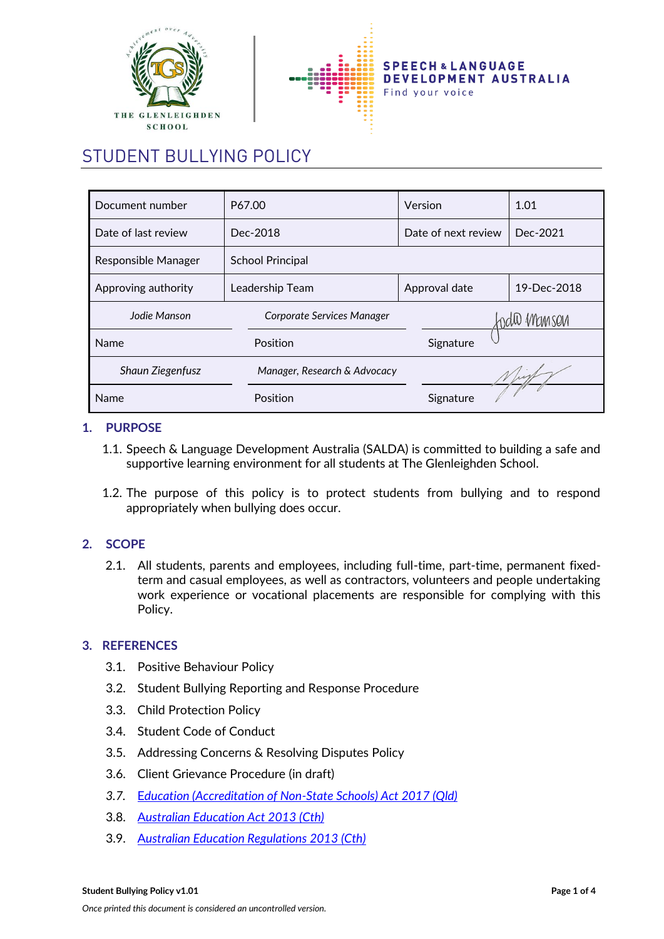



# STUDENT BULLYING POLICY

| Document number         | P67.00                       | Version             | 1.01        |
|-------------------------|------------------------------|---------------------|-------------|
| Date of last review     | Dec-2018                     | Date of next review | Dec-2021    |
| Responsible Manager     | <b>School Principal</b>      |                     |             |
| Approving authority     | Leadership Team              | Approval date       | 19-Dec-2018 |
| Jodie Manson            | Corporate Services Manager   |                     | ndil Manson |
| <b>Name</b>             | Position                     | Signature           |             |
| <b>Shaun Ziegenfusz</b> | Manager, Research & Advocacy |                     |             |
| Name                    | Position                     | Signature           |             |

## **1. PURPOSE**

- 1.1. Speech & Language Development Australia (SALDA) is committed to building a safe and supportive learning environment for all students at The Glenleighden School.
- 1.2. The purpose of this policy is to protect students from bullying and to respond appropriately when bullying does occur.

# **2. SCOPE**

2.1. All students, parents and employees, including full-time, part-time, permanent fixedterm and casual employees, as well as contractors, volunteers and people undertaking work experience or vocational placements are responsible for complying with this Policy.

## **3. REFERENCES**

- 3.1. Positive Behaviour Policy
- 3.2. Student Bullying Reporting and Response Procedure
- 3.3. Child Protection Policy
- 3.4. Student Code of Conduct
- 3.5. Addressing Concerns & Resolving Disputes Policy
- 3.6. Client Grievance Procedure (in draft)
- *3.7.* E*[ducation \(Accreditation of Non-State Schools\) Act 2017 \(Qld\)](https://www.legislation.qld.gov.au/view/html/inforce/current/act-2017-024)*
- 3.8. A*[ustralian Education Act 2013 \(Cth\)](https://www.legislation.gov.au/Details/C2013A00067)*
- 3.9. A*[ustralian Education Regulations 2013 \(Cth\)](https://www.legislation.gov.au/Details/F2013L01476)*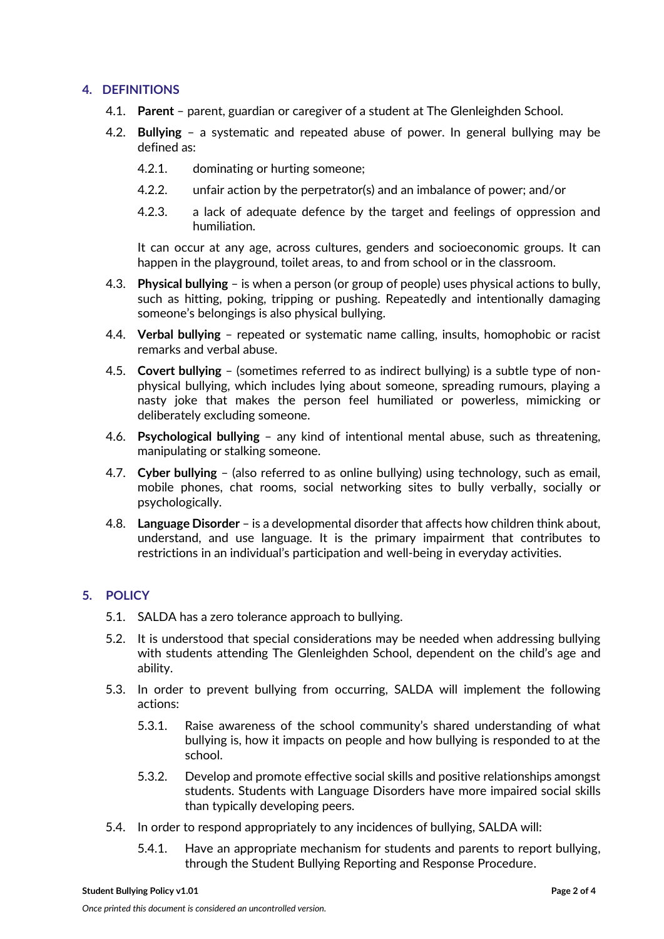## **4. DEFINITIONS**

- 4.1. **Parent**  parent, guardian or caregiver of a student at The Glenleighden School.
- 4.2. **Bullying** a systematic and repeated abuse of power. In general bullying may be defined as:
	- 4.2.1. dominating or hurting someone;
	- 4.2.2. unfair action by the perpetrator(s) and an imbalance of power; and/or
	- 4.2.3. a lack of adequate defence by the target and feelings of oppression and humiliation.

It can occur at any age, across cultures, genders and socioeconomic groups. It can happen in the playground, toilet areas, to and from school or in the classroom.

- 4.3. **Physical bullying** is when a person (or group of people) uses physical actions to bully, such as hitting, poking, tripping or pushing. Repeatedly and intentionally damaging someone's belongings is also physical bullying.
- 4.4. **Verbal bullying** repeated or systematic name calling, insults, homophobic or racist remarks and verbal abuse.
- 4.5. **Covert bullying** (sometimes referred to as indirect bullying) is a subtle type of nonphysical bullying, which includes lying about someone, spreading rumours, playing a nasty joke that makes the person feel humiliated or powerless, mimicking or deliberately excluding someone.
- 4.6. **Psychological bullying** any kind of intentional mental abuse, such as threatening, manipulating or stalking someone.
- 4.7. **Cyber bullying** (also referred to as online bullying) using technology, such as email, mobile phones, chat rooms, social networking sites to bully verbally, socially or psychologically.
- 4.8. **Language Disorder**  is a developmental disorder that affects how children think about, understand, and use language. It is the primary impairment that contributes to restrictions in an individual's participation and well-being in everyday activities.

# **5. POLICY**

- 5.1. SALDA has a zero tolerance approach to bullying.
- 5.2. It is understood that special considerations may be needed when addressing bullying with students attending The Glenleighden School, dependent on the child's age and ability.
- 5.3. In order to prevent bullying from occurring, SALDA will implement the following actions:
	- 5.3.1. Raise awareness of the school community's shared understanding of what bullying is, how it impacts on people and how bullying is responded to at the school.
	- 5.3.2. Develop and promote effective social skills and positive relationships amongst students. Students with Language Disorders have more impaired social skills than typically developing peers.
- 5.4. In order to respond appropriately to any incidences of bullying, SALDA will:
	- 5.4.1. Have an appropriate mechanism for students and parents to report bullying, through the Student Bullying Reporting and Response Procedure.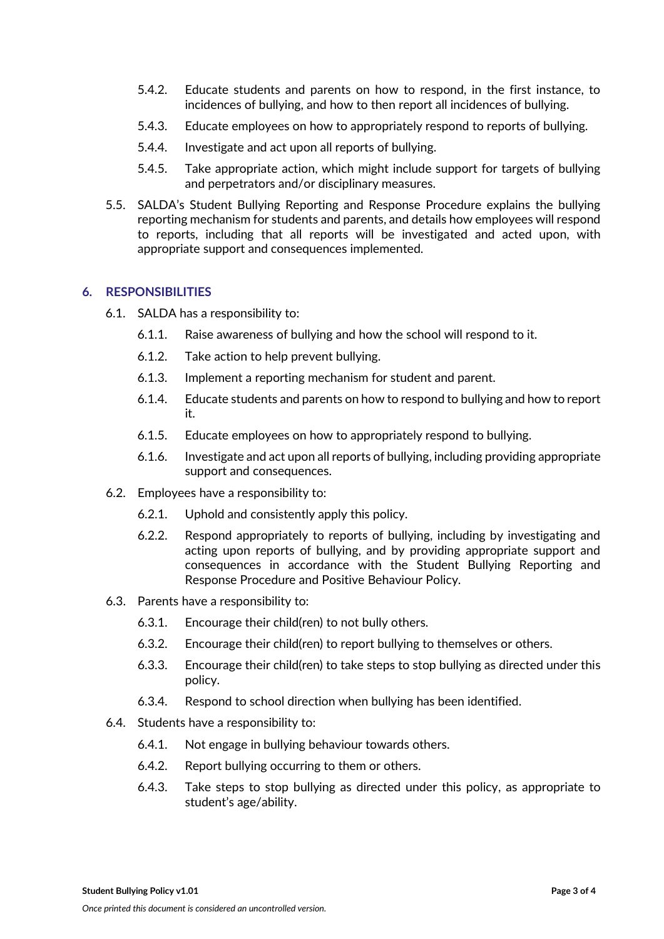- 5.4.2. Educate students and parents on how to respond, in the first instance, to incidences of bullying, and how to then report all incidences of bullying.
- 5.4.3. Educate employees on how to appropriately respond to reports of bullying.
- 5.4.4. Investigate and act upon all reports of bullying.
- 5.4.5. Take appropriate action, which might include support for targets of bullying and perpetrators and/or disciplinary measures.
- 5.5. SALDA's Student Bullying Reporting and Response Procedure explains the bullying reporting mechanism for students and parents, and details how employees will respond to reports, including that all reports will be investigated and acted upon, with appropriate support and consequences implemented.

## **6. RESPONSIBILITIES**

- 6.1. SALDA has a responsibility to:
	- 6.1.1. Raise awareness of bullying and how the school will respond to it.
	- 6.1.2. Take action to help prevent bullying.
	- 6.1.3. Implement a reporting mechanism for student and parent.
	- 6.1.4. Educate students and parents on how to respond to bullying and how to report it.
	- 6.1.5. Educate employees on how to appropriately respond to bullying.
	- 6.1.6. Investigate and act upon all reports of bullying, including providing appropriate support and consequences.
- 6.2. Employees have a responsibility to:
	- 6.2.1. Uphold and consistently apply this policy.
	- 6.2.2. Respond appropriately to reports of bullying, including by investigating and acting upon reports of bullying, and by providing appropriate support and consequences in accordance with the Student Bullying Reporting and Response Procedure and Positive Behaviour Policy.
- 6.3. Parents have a responsibility to:
	- 6.3.1. Encourage their child(ren) to not bully others.
	- 6.3.2. Encourage their child(ren) to report bullying to themselves or others.
	- 6.3.3. Encourage their child(ren) to take steps to stop bullying as directed under this policy.
	- 6.3.4. Respond to school direction when bullying has been identified.
- 6.4. Students have a responsibility to:
	- 6.4.1. Not engage in bullying behaviour towards others.
	- 6.4.2. Report bullying occurring to them or others.
	- 6.4.3. Take steps to stop bullying as directed under this policy, as appropriate to student's age/ability.